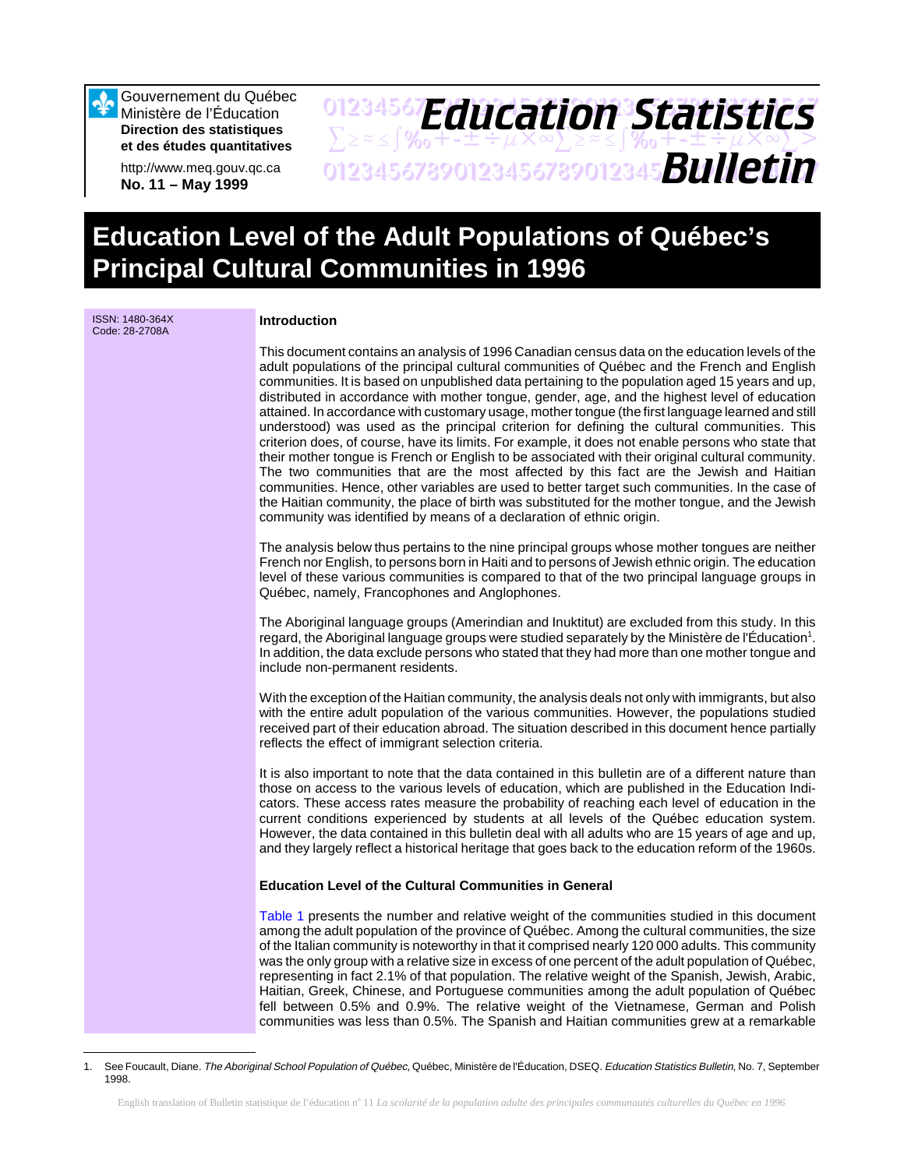Gouvernement du Québec Ministère de l'Éducation **Direction des statistiques et des études quantitatives**

http://www.meq.gouv.qc.ca **No. 11 – May 1999**

# 01234567**F***Anri Stion Statictice*  $\sum z \approx \int \mathcal{Y}_{0} + \pm \pm \div \mu \times \infty$  $\sum z \approx \pm \int \mathcal{Y}_{0} + \pm \pm \div \mu \times \infty$ 01234567890123456789012345678901234567 *Bulletin Education Statistics*

# **Education Level of the Adult Populations of Québec's Principal Cultural Communities in 1996**

| ISSN: 1480-364X<br>Code: 28-2708A | <b>Introduction</b>                                                                                                                                                                                                                                                                                                                                                                                                                                                                                                                                                                                                                                                                                                                                                                                                                                                                                                                                                                                                                                                                                                                                                                      |
|-----------------------------------|------------------------------------------------------------------------------------------------------------------------------------------------------------------------------------------------------------------------------------------------------------------------------------------------------------------------------------------------------------------------------------------------------------------------------------------------------------------------------------------------------------------------------------------------------------------------------------------------------------------------------------------------------------------------------------------------------------------------------------------------------------------------------------------------------------------------------------------------------------------------------------------------------------------------------------------------------------------------------------------------------------------------------------------------------------------------------------------------------------------------------------------------------------------------------------------|
|                                   | This document contains an analysis of 1996 Canadian census data on the education levels of the<br>adult populations of the principal cultural communities of Québec and the French and English<br>communities. It is based on unpublished data pertaining to the population aged 15 years and up,<br>distributed in accordance with mother tongue, gender, age, and the highest level of education<br>attained. In accordance with customary usage, mother tongue (the first language learned and still<br>understood) was used as the principal criterion for defining the cultural communities. This<br>criterion does, of course, have its limits. For example, it does not enable persons who state that<br>their mother tongue is French or English to be associated with their original cultural community.<br>The two communities that are the most affected by this fact are the Jewish and Haitian<br>communities. Hence, other variables are used to better target such communities. In the case of<br>the Haitian community, the place of birth was substituted for the mother tongue, and the Jewish<br>community was identified by means of a declaration of ethnic origin. |
|                                   | The analysis below thus pertains to the nine principal groups whose mother tongues are neither<br>French nor English, to persons born in Haiti and to persons of Jewish ethnic origin. The education<br>level of these various communities is compared to that of the two principal language groups in<br>Québec, namely, Francophones and Anglophones.                                                                                                                                                                                                                                                                                                                                                                                                                                                                                                                                                                                                                                                                                                                                                                                                                                  |
|                                   | The Aboriginal language groups (Amerindian and Inuktitut) are excluded from this study. In this<br>regard, the Aboriginal language groups were studied separately by the Ministère de l'Éducation <sup>1</sup> .<br>In addition, the data exclude persons who stated that they had more than one mother tongue and<br>include non-permanent residents.                                                                                                                                                                                                                                                                                                                                                                                                                                                                                                                                                                                                                                                                                                                                                                                                                                   |
|                                   | With the exception of the Haitian community, the analysis deals not only with immigrants, but also<br>with the entire adult population of the various communities. However, the populations studied<br>received part of their education abroad. The situation described in this document hence partially<br>reflects the effect of immigrant selection criteria.                                                                                                                                                                                                                                                                                                                                                                                                                                                                                                                                                                                                                                                                                                                                                                                                                         |
|                                   | It is also important to note that the data contained in this bulletin are of a different nature than<br>those on access to the various levels of education, which are published in the Education Indi-<br>cators. These access rates measure the probability of reaching each level of education in the<br>current conditions experienced by students at all levels of the Québec education system.<br>However, the data contained in this bulletin deal with all adults who are 15 years of age and up,<br>and they largely reflect a historical heritage that goes back to the education reform of the 1960s.                                                                                                                                                                                                                                                                                                                                                                                                                                                                                                                                                                          |
|                                   | <b>Education Level of the Cultural Communities in General</b>                                                                                                                                                                                                                                                                                                                                                                                                                                                                                                                                                                                                                                                                                                                                                                                                                                                                                                                                                                                                                                                                                                                            |
|                                   | Table 1 presents the number and relative weight of the communities studied in this document<br>among the adult population of the province of Québec. Among the cultural communities, the size<br>of the Italian community is noteworthy in that it comprised nearly 120 000 adults. This community<br>was the only group with a relative size in excess of one percent of the adult population of Québec,<br>representing in fact 2.1% of that population. The relative weight of the Spanish, Jewish, Arabic,<br>Haitian, Greek, Chinese, and Portuguese communities among the adult population of Québec<br>fell between 0.5% and 0.9%. The relative weight of the Vietnamese, German and Polish<br>communities was less than 0.5%. The Spanish and Haitian communities grew at a remarkable                                                                                                                                                                                                                                                                                                                                                                                           |

<sup>1.</sup> See Foucault, Diane. The Aboriginal School Population of Québec, Québec, Ministère de l'Éducation, DSEQ. Education Statistics Bulletin, No. 7, September 1998.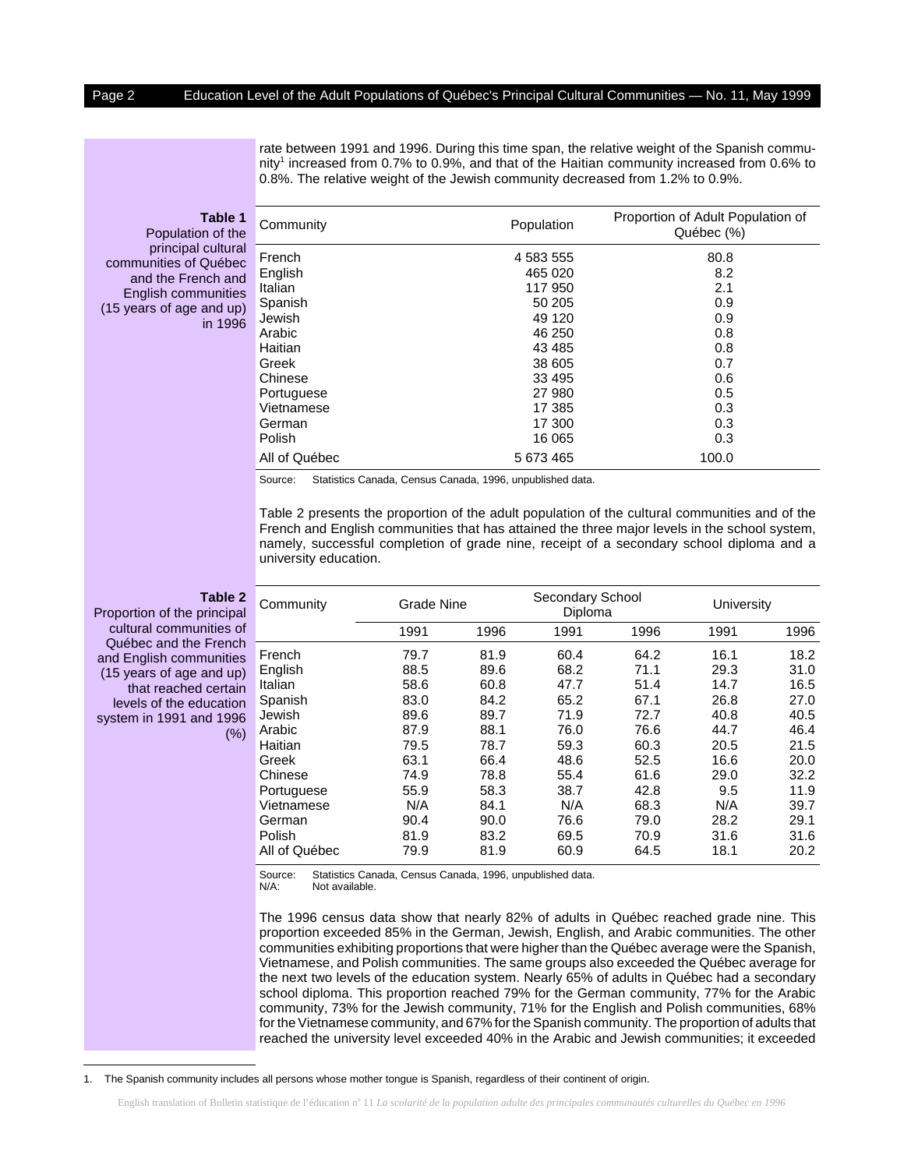rate between 1991 and 1996. During this time span, the relative weight of the Spanish community<sup>1</sup> increased from 0.7% to 0.9%, and that of the Haitian community increased from 0.6% to 0.8%. The relative weight of the Jewish community decreased from 1.2% to 0.9%.

## **Table 1**

<span id="page-1-0"></span>Population of the principal cultural communities of Québec and the French and English communities (15 years of age and up) in 1996

| Community                          | Population | Proportion of Adult Population of<br>Québec (%) |
|------------------------------------|------------|-------------------------------------------------|
| French                             | 4 583 555  | 80.8                                            |
| English                            | 465 020    | 8.2                                             |
| Italian                            | 117 950    | 2.1                                             |
| Spanish                            | 50 205     | 0.9                                             |
| Jewish                             | 49 120     | 0.9                                             |
| Arabic                             | 46 250     | 0.8                                             |
| Haitian                            | 43 4 8 5   | 0.8                                             |
| Greek                              | 38 605     | 0.7                                             |
| Chinese                            | 33 4 95    | 0.6                                             |
| Portuguese                         | 27 980     | 0.5                                             |
| Vietnamese                         | 17 385     | 0.3                                             |
| German                             | 17 300     | 0.3                                             |
| Polish                             | 16 065     | 0.3                                             |
| All of Québec                      | 5 673 465  | 100.0                                           |
| $\sim$ $\sim$ $\sim$ $\sim$ $\sim$ | .          |                                                 |

Source: Statistics Canada, Census Canada, 1996, unpublished data.

Table 2 presents the proportion of the adult population of the cultural communities and of the French and English communities that has attained the three major levels in the school system, namely, successful completion of grade nine, receipt of a secondary school diploma and a university education.

#### **Table 2**

Proportion of the principal cultural communities of Québec and the French and English communities (15 years of age and up) that reached certain levels of the education system in 1991 and 1996  $(% )$ 

| Community     | <b>Grade Nine</b> |      | Secondary School<br>Diploma |      | University |      |
|---------------|-------------------|------|-----------------------------|------|------------|------|
|               | 1991              | 1996 | 1991                        | 1996 | 1991       | 1996 |
| French        | 79.7              | 81.9 | 60.4                        | 64.2 | 16.1       | 18.2 |
| English       | 88.5              | 89.6 | 68.2                        | 71.1 | 29.3       | 31.0 |
| Italian       | 58.6              | 60.8 | 47.7                        | 51.4 | 14.7       | 16.5 |
| Spanish       | 83.0              | 84.2 | 65.2                        | 67.1 | 26.8       | 27.0 |
| Jewish        | 89.6              | 89.7 | 71.9                        | 72.7 | 40.8       | 40.5 |
| Arabic        | 87.9              | 88.1 | 76.0                        | 76.6 | 44.7       | 46.4 |
| Haitian       | 79.5              | 78.7 | 59.3                        | 60.3 | 20.5       | 21.5 |
| Greek         | 63.1              | 66.4 | 48.6                        | 52.5 | 16.6       | 20.0 |
| Chinese       | 74.9              | 78.8 | 55.4                        | 61.6 | 29.0       | 32.2 |
| Portuguese    | 55.9              | 58.3 | 38.7                        | 42.8 | 9.5        | 11.9 |
| Vietnamese    | N/A               | 84.1 | N/A                         | 68.3 | N/A        | 39.7 |
| German        | 90.4              | 90.0 | 76.6                        | 79.0 | 28.2       | 29.1 |
| Polish        | 81.9              | 83.2 | 69.5                        | 70.9 | 31.6       | 31.6 |
| All of Québec | 79.9              | 81.9 | 60.9                        | 64.5 | 18.1       | 20.2 |

Source: Statistics Canada, Census Canada, 1996, unpublished data. N/A: Not available.

The 1996 census data show that nearly 82% of adults in Québec reached grade nine. This proportion exceeded 85% in the German, Jewish, English, and Arabic communities. The other communities exhibiting proportions that were higher than the Québec average were the Spanish, Vietnamese, and Polish communities. The same groups also exceeded the Québec average for the next two levels of the education system. Nearly 65% of adults in Québec had a secondary school diploma. This proportion reached 79% for the German community, 77% for the Arabic community, 73% for the Jewish community, 71% for the English and Polish communities, 68% for the Vietnamese community, and 67% for the Spanish community. The proportion of adults that reached the university level exceeded 40% in the Arabic and Jewish communities; it exceeded

<sup>1.</sup> The Spanish community includes all persons whose mother tongue is Spanish, regardless of their continent of origin.

English translation of Bulletin statistique de l'éducation nº 11 La scolarité de la population adulte des principales communautés culturelles du Québec en 1996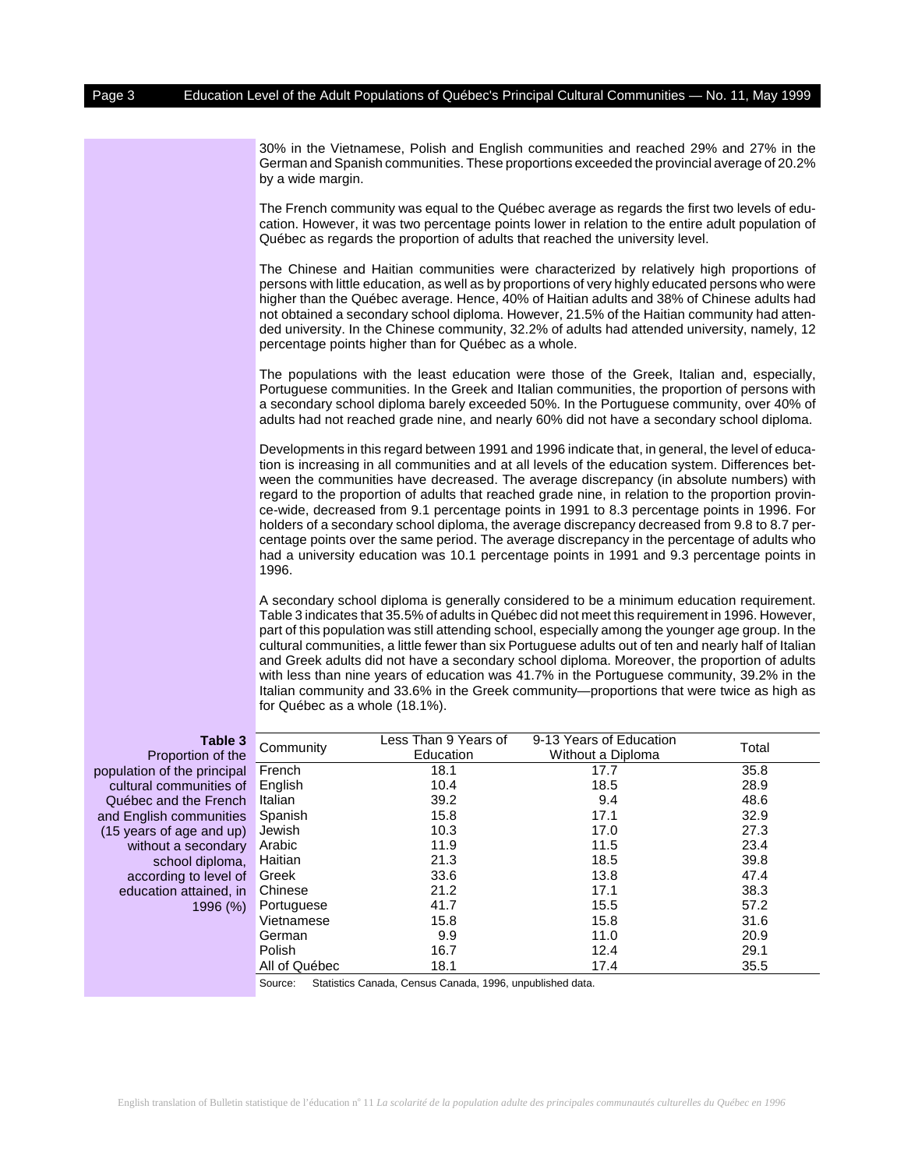30% in the Vietnamese, Polish and English communities and reached 29% and 27% in the German and Spanish communities. These proportions exceeded the provincial average of 20.2% by a wide margin.

The French community was equal to the Québec average as regards the first two levels of education. However, it was two percentage points lower in relation to the entire adult population of Québec as regards the proportion of adults that reached the university level.

The Chinese and Haitian communities were characterized by relatively high proportions of persons with little education, as well as by proportions of very highly educated persons who were higher than the Québec average. Hence, 40% of Haitian adults and 38% of Chinese adults had not obtained a secondary school diploma. However, 21.5% of the Haitian community had attended university. In the Chinese community, 32.2% of adults had attended university, namely, 12 percentage points higher than for Québec as a whole.

The populations with the least education were those of the Greek, Italian and, especially, Portuguese communities. In the Greek and Italian communities, the proportion of persons with a secondary school diploma barely exceeded 50%. In the Portuguese community, over 40% of adults had not reached grade nine, and nearly 60% did not have a secondary school diploma.

Developments in this regard between 1991 and 1996 indicate that, in general, the level of education is increasing in all communities and at all levels of the education system. Differences between the communities have decreased. The average discrepancy (in absolute numbers) with regard to the proportion of adults that reached grade nine, in relation to the proportion province-wide, decreased from 9.1 percentage points in 1991 to 8.3 percentage points in 1996. For holders of a secondary school diploma, the average discrepancy decreased from 9.8 to 8.7 percentage points over the same period. The average discrepancy in the percentage of adults who had a university education was 10.1 percentage points in 1991 and 9.3 percentage points in 1996.

A secondary school diploma is generally considered to be a minimum education requirement. Table 3 indicates that 35.5% of adults in Québec did not meet this requirement in 1996. However, part of this population was still attending school, especially among the younger age group. In the cultural communities, a little fewer than six Portuguese adults out of ten and nearly half of Italian and Greek adults did not have a secondary school diploma. Moreover, the proportion of adults with less than nine years of education was 41.7% in the Portuguese community, 39.2% in the Italian community and 33.6% in the Greek community—proportions that were twice as high as for Québec as a whole (18.1%).

### **Table 3**

Proportion of the population of the principal cultural communities of Québec and the French and English communities (15 years of age and up) without a secondary school diploma, according to level of education attained, in 1996 (%)

| Community     | Less Than 9 Years of<br>Education | 9-13 Years of Education<br>Without a Diploma | Total |
|---------------|-----------------------------------|----------------------------------------------|-------|
| French        | 18.1                              | 17.7                                         | 35.8  |
| English       | 10.4                              | 18.5                                         | 28.9  |
| Italian       | 39.2                              | 9.4                                          | 48.6  |
| Spanish       | 15.8                              | 17.1                                         | 32.9  |
| Jewish        | 10.3                              | 17.0                                         | 27.3  |
| Arabic        | 11.9                              | 11.5                                         | 23.4  |
| Haitian       | 21.3                              | 18.5                                         | 39.8  |
| Greek         | 33.6                              | 13.8                                         | 47.4  |
| Chinese       | 21.2                              | 17.1                                         | 38.3  |
| Portuguese    | 41.7                              | 15.5                                         | 57.2  |
| Vietnamese    | 15.8                              | 15.8                                         | 31.6  |
| German        | 9.9                               | 11.0                                         | 20.9  |
| Polish        | 16.7                              | 12.4                                         | 29.1  |
| All of Québec | 18.1                              | 17.4                                         | 35.5  |

Source: Statistics Canada, Census Canada, 1996, unpublished data.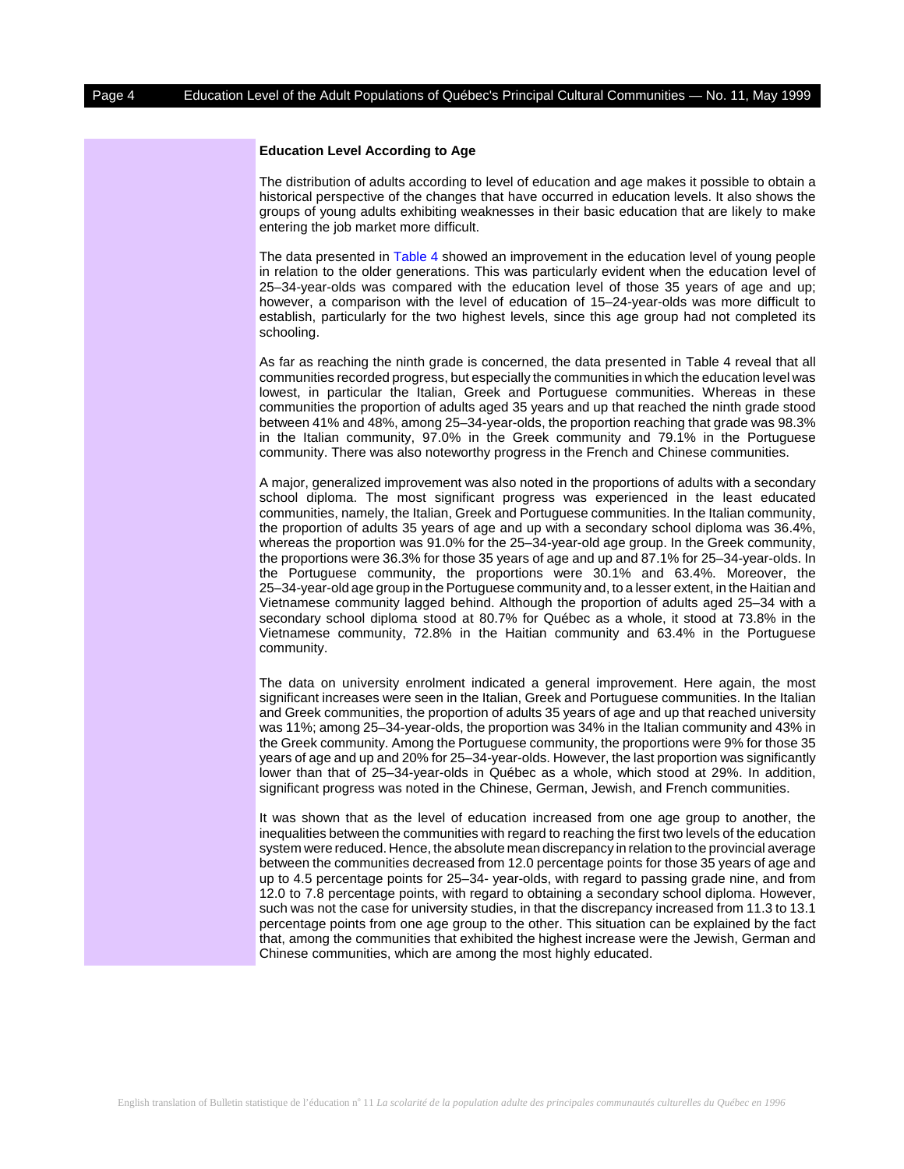#### **Education Level According to Age**

The distribution of adults according to level of education and age makes it possible to obtain a historical perspective of the changes that have occurred in education levels. It also shows the groups of young adults exhibiting weaknesses in their basic education that are likely to make entering the job market more difficult.

The data presented i[n Table 4 s](#page-4-0)howed an improvement in the education level of young people in relation to the older generations. This was particularly evident when the education level of 25–34-year-olds was compared with the education level of those 35 years of age and up; however, a comparison with the level of education of 15–24-year-olds was more difficult to establish, particularly for the two highest levels, since this age group had not completed its schooling.

As far as reaching the ninth grade is concerned, the data presented in Table 4 reveal that all communities recorded progress, but especially the communities in which the education level was lowest, in particular the Italian, Greek and Portuguese communities. Whereas in these communities the proportion of adults aged 35 years and up that reached the ninth grade stood between 41% and 48%, among 25–34-year-olds, the proportion reaching that grade was 98.3% in the Italian community, 97.0% in the Greek community and 79.1% in the Portuguese community. There was also noteworthy progress in the French and Chinese communities.

A major, generalized improvement was also noted in the proportions of adults with a secondary school diploma. The most significant progress was experienced in the least educated communities, namely, the Italian, Greek and Portuguese communities. In the Italian community, the proportion of adults 35 years of age and up with a secondary school diploma was 36.4%, whereas the proportion was 91.0% for the 25–34-year-old age group. In the Greek community, the proportions were 36.3% for those 35 years of age and up and 87.1% for 25–34-year-olds. In the Portuguese community, the proportions were 30.1% and 63.4%. Moreover, the 25–34-year-old age group in the Portuguese community and, to a lesser extent, in the Haitian and Vietnamese community lagged behind. Although the proportion of adults aged 25–34 with a secondary school diploma stood at 80.7% for Québec as a whole, it stood at 73.8% in the Vietnamese community, 72.8% in the Haitian community and 63.4% in the Portuguese community.

The data on university enrolment indicated a general improvement. Here again, the most significant increases were seen in the Italian, Greek and Portuguese communities. In the Italian and Greek communities, the proportion of adults 35 years of age and up that reached university was 11%; among 25–34-year-olds, the proportion was 34% in the Italian community and 43% in the Greek community. Among the Portuguese community, the proportions were 9% for those 35 years of age and up and 20% for 25–34-year-olds. However, the last proportion was significantly lower than that of 25–34-year-olds in Québec as a whole, which stood at 29%. In addition, significant progress was noted in the Chinese, German, Jewish, and French communities.

It was shown that as the level of education increased from one age group to another, the inequalities between the communities with regard to reaching the first two levels of the education system were reduced. Hence, the absolute mean discrepancy in relation to the provincial average between the communities decreased from 12.0 percentage points for those 35 years of age and up to 4.5 percentage points for 25–34- year-olds, with regard to passing grade nine, and from 12.0 to 7.8 percentage points, with regard to obtaining a secondary school diploma. However, such was not the case for university studies, in that the discrepancy increased from 11.3 to 13.1 percentage points from one age group to the other. This situation can be explained by the fact that, among the communities that exhibited the highest increase were the Jewish, German and Chinese communities, which are among the most highly educated.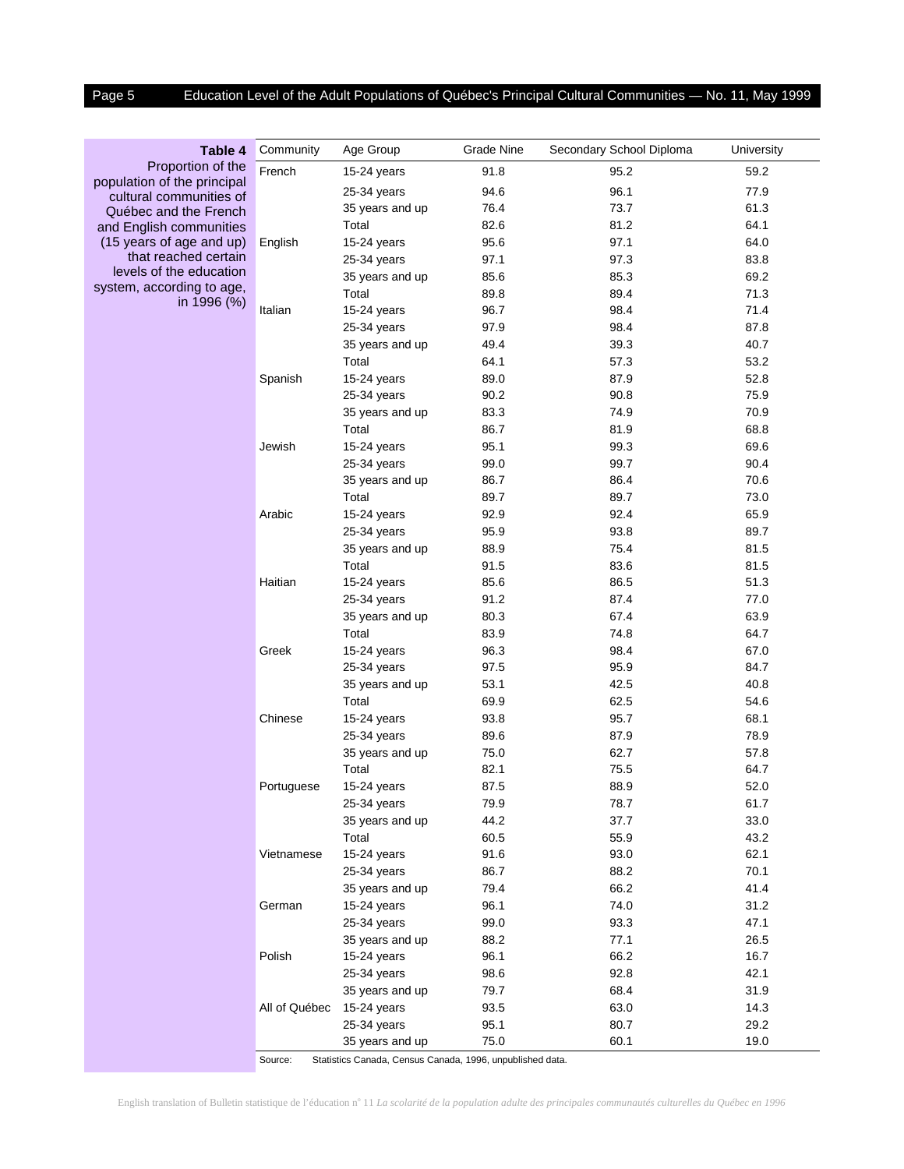<span id="page-4-0"></span>

| Table 4                                          | Community     | Age Group       | <b>Grade Nine</b> | Secondary School Diploma | University |
|--------------------------------------------------|---------------|-----------------|-------------------|--------------------------|------------|
| Proportion of the<br>population of the principal | French        | 15-24 years     | 91.8              | 95.2                     | 59.2       |
|                                                  |               | 25-34 years     | 94.6              | 96.1                     | 77.9       |
| cultural communities of<br>Québec and the French |               | 35 years and up | 76.4              | 73.7                     | 61.3       |
| and English communities                          |               | Total           | 82.6              | 81.2                     | 64.1       |
| (15 years of age and up)                         | English       | 15-24 years     | 95.6              | 97.1                     | 64.0       |
| that reached certain                             |               | 25-34 years     | 97.1              | 97.3                     | 83.8       |
| levels of the education                          |               | 35 years and up | 85.6              | 85.3                     | 69.2       |
| system, according to age,                        |               | Total           | 89.8              | 89.4                     | 71.3       |
| in 1996 (%)                                      | Italian       | 15-24 years     | 96.7              | 98.4                     | 71.4       |
|                                                  |               | 25-34 years     | 97.9              | 98.4                     | 87.8       |
|                                                  |               | 35 years and up | 49.4              | 39.3                     | 40.7       |
|                                                  |               | Total           | 64.1              | 57.3                     | 53.2       |
|                                                  | Spanish       | 15-24 years     | 89.0              | 87.9                     | 52.8       |
|                                                  |               | 25-34 years     | 90.2              | 90.8                     | 75.9       |
|                                                  |               | 35 years and up | 83.3              | 74.9                     | 70.9       |
|                                                  |               | Total           | 86.7              | 81.9                     | 68.8       |
|                                                  | Jewish        | 15-24 years     | 95.1              | 99.3                     | 69.6       |
|                                                  |               | 25-34 years     | 99.0              | 99.7                     | 90.4       |
|                                                  |               | 35 years and up | 86.7              | 86.4                     | 70.6       |
|                                                  |               | Total           | 89.7              | 89.7                     | 73.0       |
|                                                  | Arabic        | 15-24 years     | 92.9              | 92.4                     | 65.9       |
|                                                  |               | 25-34 years     | 95.9              | 93.8                     | 89.7       |
|                                                  |               | 35 years and up | 88.9              | 75.4                     | 81.5       |
|                                                  |               | Total           | 91.5              | 83.6                     | 81.5       |
|                                                  | Haitian       | 15-24 years     | 85.6              | 86.5                     | 51.3       |
|                                                  |               | 25-34 years     | 91.2              | 87.4                     | 77.0       |
|                                                  |               | 35 years and up | 80.3              | 67.4                     | 63.9       |
|                                                  |               | Total           | 83.9              | 74.8                     | 64.7       |
|                                                  | Greek         | 15-24 years     | 96.3              | 98.4                     | 67.0       |
|                                                  |               | 25-34 years     | 97.5              | 95.9                     | 84.7       |
|                                                  |               | 35 years and up | 53.1              | 42.5                     | 40.8       |
|                                                  |               | Total           | 69.9              | 62.5                     | 54.6       |
|                                                  | Chinese       | $15-24$ years   | 93.8              | 95.7                     | 68.1       |
|                                                  |               | 25-34 years     | 89.6              | 87.9                     | 78.9       |
|                                                  |               | 35 years and up | 75.0              | 62.7                     | 57.8       |
|                                                  |               | Total           | 82.1              | 75.5                     | 64.7       |
|                                                  | Portuguese    | 15-24 years     | 87.5              | 88.9                     | 52.0       |
|                                                  |               | 25-34 years     | 79.9              | 78.7                     | 61.7       |
|                                                  |               | 35 years and up | 44.2              | 37.7                     | 33.0       |
|                                                  |               | Total           | 60.5              | 55.9                     | 43.2       |
|                                                  | Vietnamese    | 15-24 years     | 91.6              | 93.0                     | 62.1       |
|                                                  |               | 25-34 years     | 86.7              | 88.2                     | 70.1       |
|                                                  |               | 35 years and up | 79.4              | 66.2                     | 41.4       |
|                                                  | German        | 15-24 years     | 96.1              | 74.0                     | 31.2       |
|                                                  |               | 25-34 years     | 99.0              | 93.3                     | 47.1       |
|                                                  |               | 35 years and up | 88.2              | 77.1                     | 26.5       |
|                                                  | Polish        |                 | 96.1              | 66.2                     | 16.7       |
|                                                  |               | 15-24 years     |                   |                          |            |
|                                                  |               | 25-34 years     | 98.6              | 92.8                     | 42.1       |
|                                                  |               | 35 years and up | 79.7              | 68.4                     | 31.9       |
|                                                  | All of Québec | 15-24 years     | 93.5              | 63.0                     | 14.3       |
|                                                  |               | 25-34 years     | 95.1              | 80.7                     | 29.2       |
|                                                  |               | 35 years and up | 75.0              | 60.1                     | 19.0       |

Source: Statistics Canada, Census Canada, 1996, unpublished data.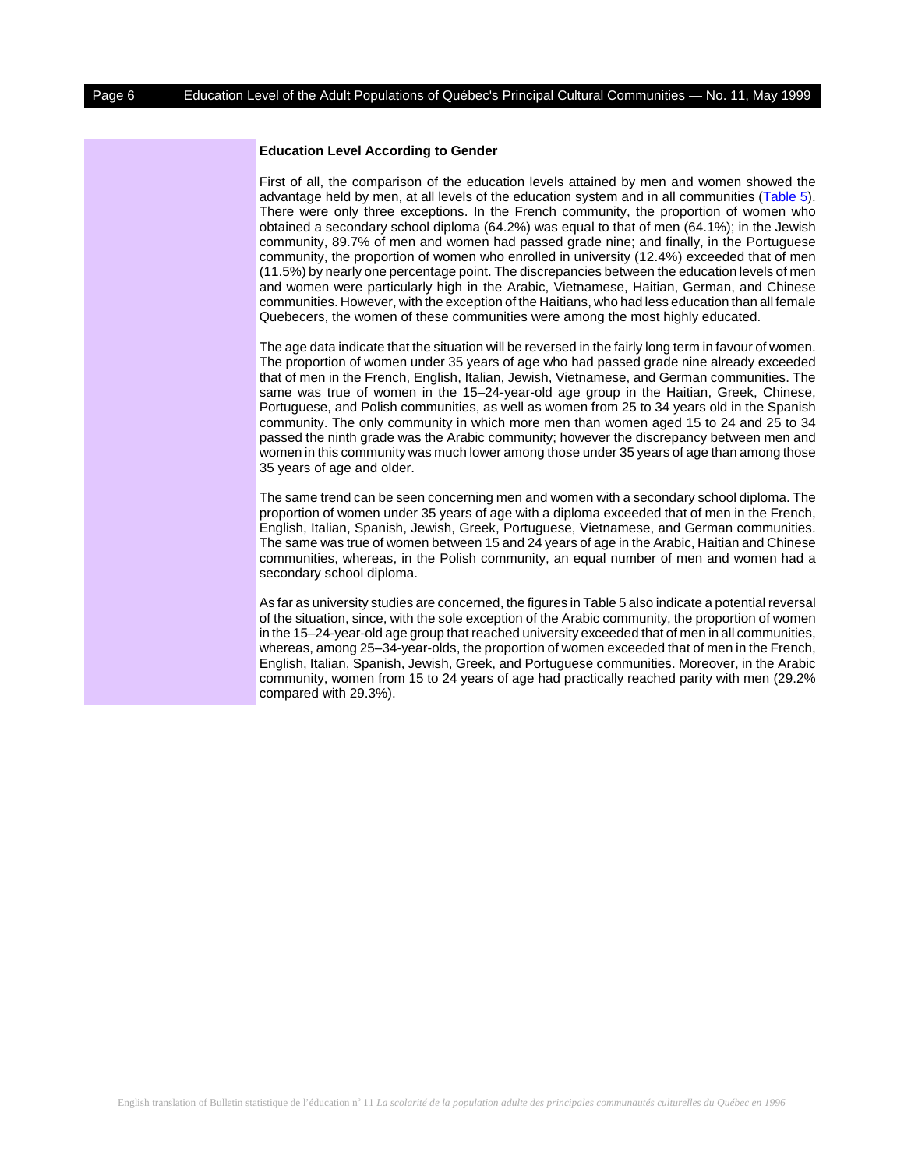#### **Education Level According to Gender**

First of all, the comparison of the education levels attained by men and women showed the advantage held by men, at all levels of the education system and in all communities [\(Table 5\)](#page-6-0). There were only three exceptions. In the French community, the proportion of women who obtained a secondary school diploma (64.2%) was equal to that of men (64.1%); in the Jewish community, 89.7% of men and women had passed grade nine; and finally, in the Portuguese community, the proportion of women who enrolled in university (12.4%) exceeded that of men (11.5%) by nearly one percentage point. The discrepancies between the education levels of men and women were particularly high in the Arabic, Vietnamese, Haitian, German, and Chinese communities. However, with the exception of the Haitians, who had less education than all female Quebecers, the women of these communities were among the most highly educated.

The age data indicate that the situation will be reversed in the fairly long term in favour of women. The proportion of women under 35 years of age who had passed grade nine already exceeded that of men in the French, English, Italian, Jewish, Vietnamese, and German communities. The same was true of women in the 15–24-year-old age group in the Haitian, Greek, Chinese, Portuguese, and Polish communities, as well as women from 25 to 34 years old in the Spanish community. The only community in which more men than women aged 15 to 24 and 25 to 34 passed the ninth grade was the Arabic community; however the discrepancy between men and women in this community was much lower among those under 35 years of age than among those 35 years of age and older.

The same trend can be seen concerning men and women with a secondary school diploma. The proportion of women under 35 years of age with a diploma exceeded that of men in the French, English, Italian, Spanish, Jewish, Greek, Portuguese, Vietnamese, and German communities. The same was true of women between 15 and 24 years of age in the Arabic, Haitian and Chinese communities, whereas, in the Polish community, an equal number of men and women had a secondary school diploma.

As far as university studies are concerned, the figures in Table 5 also indicate a potential reversal of the situation, since, with the sole exception of the Arabic community, the proportion of women in the 15–24-year-old age group that reached university exceeded that of men in all communities, whereas, among 25–34-year-olds, the proportion of women exceeded that of men in the French, English, Italian, Spanish, Jewish, Greek, and Portuguese communities. Moreover, in the Arabic community, women from 15 to 24 years of age had practically reached parity with men (29.2% compared with 29.3%).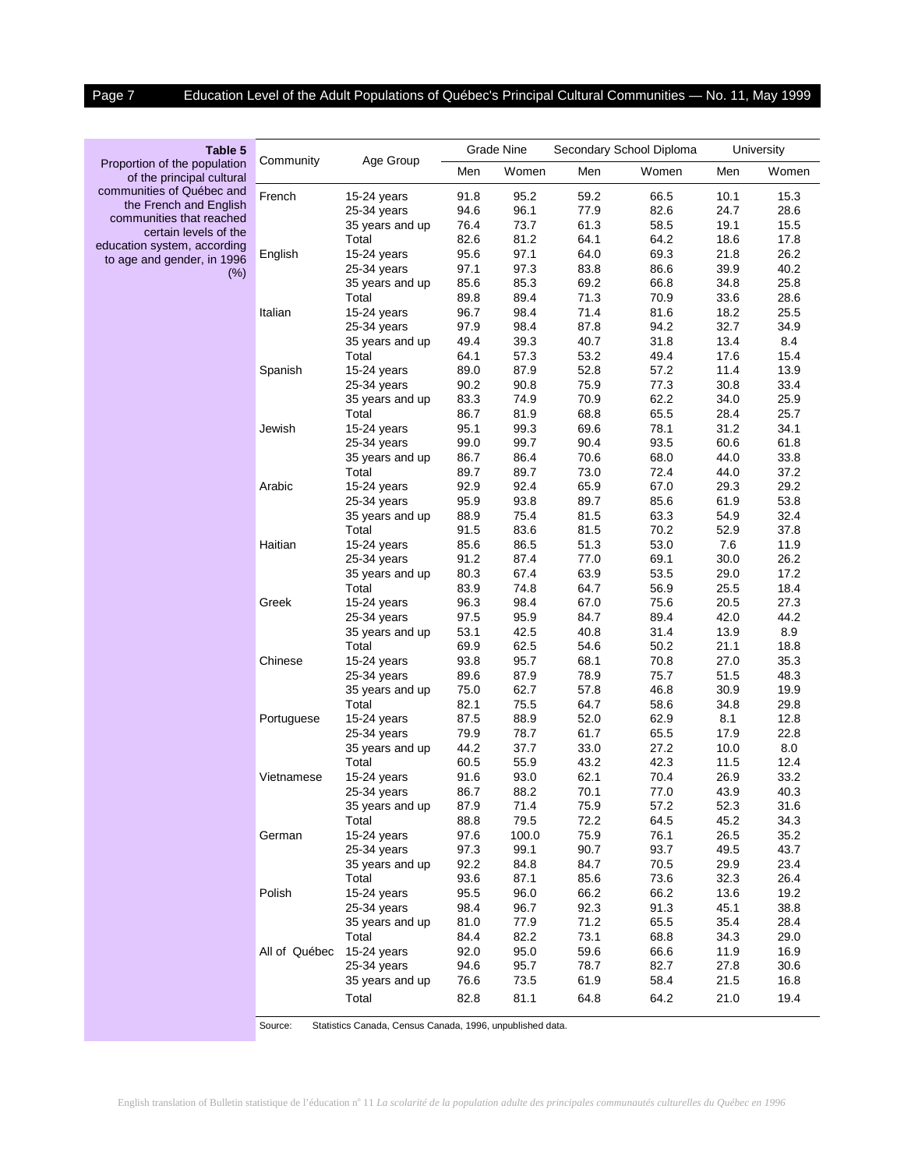<span id="page-6-0"></span>

| Table 5                                                   | Community     | Age Group                |              | Grade Nine   |              | Secondary School Diploma |              | University  |
|-----------------------------------------------------------|---------------|--------------------------|--------------|--------------|--------------|--------------------------|--------------|-------------|
| Proportion of the population<br>of the principal cultural |               |                          | Men          | Women        | Men          | Women                    | Men          | Women       |
| communities of Québec and                                 | French        | $15-24$ years            | 91.8         | 95.2         | 59.2         | 66.5                     | 10.1         | 15.3        |
| the French and English                                    |               | 25-34 years              | 94.6         | 96.1         | 77.9         | 82.6                     | 24.7         | 28.6        |
| communities that reached                                  |               | 35 years and up          | 76.4         | 73.7         | 61.3         | 58.5                     | 19.1         | 15.5        |
| certain levels of the                                     |               | Total                    | 82.6         | 81.2         | 64.1         | 64.2                     | 18.6         | 17.8        |
| education system, according<br>to age and gender, in 1996 | English       | 15-24 years              | 95.6         | 97.1         | 64.0         | 69.3                     | 21.8         | 26.2        |
| $(\%)$                                                    |               | 25-34 years              | 97.1         | 97.3         | 83.8         | 86.6                     | 39.9         | 40.2        |
|                                                           |               | 35 years and up          | 85.6         | 85.3         | 69.2         | 66.8                     | 34.8         | 25.8        |
|                                                           |               | Total                    | 89.8         | 89.4         | 71.3         | 70.9                     | 33.6         | 28.6        |
|                                                           | Italian       | 15-24 years              | 96.7         | 98.4         | 71.4         | 81.6                     | 18.2         | 25.5        |
|                                                           |               | 25-34 years              | 97.9         | 98.4         | 87.8         | 94.2                     | 32.7         | 34.9        |
|                                                           |               | 35 years and up          | 49.4         | 39.3         | 40.7         | 31.8                     | 13.4         | 8.4         |
|                                                           |               | Total                    | 64.1         | 57.3         | 53.2         | 49.4                     | 17.6         | 15.4        |
|                                                           | Spanish       | 15-24 years              | 89.0         | 87.9         | 52.8         | 57.2                     | 11.4         | 13.9        |
|                                                           |               | 25-34 years              | 90.2         | 90.8         | 75.9         | 77.3                     | 30.8         | 33.4        |
|                                                           |               | 35 years and up          | 83.3         | 74.9         | 70.9         | 62.2                     | 34.0         | 25.9        |
|                                                           |               | Total                    | 86.7         | 81.9         | 68.8         | 65.5                     | 28.4         | 25.7        |
|                                                           | Jewish        | $15-24$ years            | 95.1         | 99.3         | 69.6         | 78.1                     | 31.2         | 34.1        |
|                                                           |               | 25-34 years              | 99.0         | 99.7         | 90.4         | 93.5                     | 60.6         | 61.8        |
|                                                           |               | 35 years and up          | 86.7         | 86.4         | 70.6         | 68.0                     | 44.0         | 33.8        |
|                                                           |               | Total                    | 89.7         | 89.7         | 73.0         | 72.4                     | 44.0         | 37.2        |
|                                                           | Arabic        | 15-24 years              | 92.9         | 92.4         | 65.9         | 67.0                     | 29.3         | 29.2        |
|                                                           |               | 25-34 years              | 95.9         | 93.8         | 89.7         | 85.6                     | 61.9         | 53.8        |
|                                                           |               | 35 years and up          | 88.9         | 75.4         | 81.5         | 63.3                     | 54.9         | 32.4        |
|                                                           |               | Total                    | 91.5         | 83.6         | 81.5         | 70.2                     | 52.9         | 37.8        |
|                                                           | Haitian       | 15-24 years              | 85.6         | 86.5         | 51.3         | 53.0                     | 7.6          | 11.9        |
|                                                           |               | 25-34 years              | 91.2         | 87.4         | 77.0         | 69.1                     | 30.0         | 26.2        |
|                                                           |               | 35 years and up          | 80.3         | 67.4         | 63.9         | 53.5                     | 29.0         | 17.2        |
|                                                           |               | Total                    | 83.9         | 74.8         | 64.7         | 56.9                     | 25.5         | 18.4        |
|                                                           | Greek         | 15-24 years              | 96.3         | 98.4         | 67.0         | 75.6                     | 20.5         | 27.3        |
|                                                           |               | 25-34 years              | 97.5         | 95.9         | 84.7         | 89.4                     | 42.0         | 44.2        |
|                                                           |               | 35 years and up<br>Total | 53.1<br>69.9 | 42.5<br>62.5 | 40.8<br>54.6 | 31.4<br>50.2             | 13.9<br>21.1 | 8.9<br>18.8 |
|                                                           | Chinese       |                          | 93.8         | 95.7         | 68.1         | 70.8                     | 27.0         | 35.3        |
|                                                           |               | 15-24 years              | 89.6         | 87.9         | 78.9         | 75.7                     | 51.5         | 48.3        |
|                                                           |               | 25-34 years              | 75.0         | 62.7         | 57.8         | 46.8                     | 30.9         | 19.9        |
|                                                           |               | 35 years and up<br>Total | 82.1         | 75.5         | 64.7         | 58.6                     | 34.8         | 29.8        |
|                                                           | Portuguese    | 15-24 years              | 87.5         | 88.9         | 52.0         | 62.9                     | 8.1          | 12.8        |
|                                                           |               | 25-34 years              | 79.9         | 78.7         | 61.7         | 65.5                     | 17.9         | 22.8        |
|                                                           |               | 35 years and up          | 44.2         | 37.7         | 33.0         | 27.2                     | 10.0         | 8.0         |
|                                                           |               | Total                    | 60.5         | 55.9         | 43.2         | 42.3                     | 11.5         | 12.4        |
|                                                           | Vietnamese    | 15-24 years              | 91.6         | 93.0         | 62.1         | 70.4                     | 26.9         | 33.2        |
|                                                           |               | 25-34 years              | 86.7         | 88.2         | 70.1         | 77.0                     | 43.9         | 40.3        |
|                                                           |               | 35 years and up          | 87.9         | 71.4         | 75.9         | 57.2                     | 52.3         | 31.6        |
|                                                           |               | Total                    | 88.8         | 79.5         | 72.2         | 64.5                     | 45.2         | 34.3        |
|                                                           | German        | 15-24 years              | 97.6         | 100.0        | 75.9         | 76.1                     | 26.5         | 35.2        |
|                                                           |               | 25-34 years              | 97.3         | 99.1         | 90.7         | 93.7                     | 49.5         | 43.7        |
|                                                           |               | 35 years and up          | 92.2         | 84.8         | 84.7         | 70.5                     | 29.9         | 23.4        |
|                                                           |               | Total                    | 93.6         | 87.1         | 85.6         | 73.6                     | 32.3         | 26.4        |
|                                                           | Polish        | 15-24 years              | 95.5         | 96.0         | 66.2         | 66.2                     | 13.6         | 19.2        |
|                                                           |               | 25-34 years              | 98.4         | 96.7         | 92.3         | 91.3                     | 45.1         | 38.8        |
|                                                           |               | 35 years and up          | 81.0         | 77.9         | 71.2         | 65.5                     | 35.4         | 28.4        |
|                                                           |               | Total                    | 84.4         | 82.2         | 73.1         | 68.8                     | 34.3         | 29.0        |
|                                                           | All of Québec | 15-24 years              | 92.0         | 95.0         | 59.6         | 66.6                     | 11.9         | 16.9        |
|                                                           |               | 25-34 years              | 94.6         | 95.7         | 78.7         | 82.7                     | 27.8         | 30.6        |
|                                                           |               | 35 years and up          | 76.6         | 73.5         | 61.9         | 58.4                     | 21.5         | 16.8        |
|                                                           |               | Total                    | 82.8         | 81.1         | 64.8         | 64.2                     | 21.0         | 19.4        |
|                                                           |               |                          |              |              |              |                          |              |             |

Source: Statistics Canada, Census Canada, 1996, unpublished data.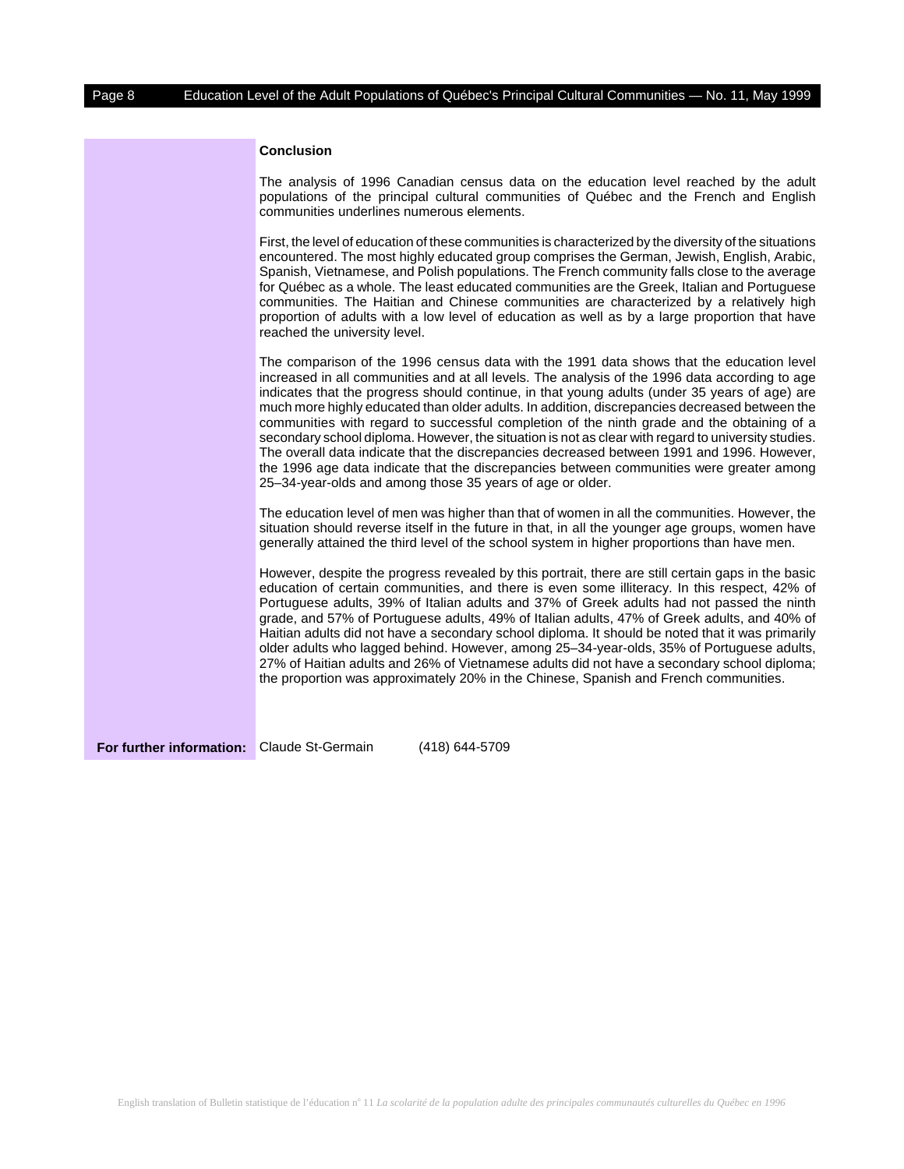#### **Conclusion**

The analysis of 1996 Canadian census data on the education level reached by the adult populations of the principal cultural communities of Québec and the French and English communities underlines numerous elements.

First, the level of education of these communities is characterized by the diversity of the situations encountered. The most highly educated group comprises the German, Jewish, English, Arabic, Spanish, Vietnamese, and Polish populations. The French community falls close to the average for Québec as a whole. The least educated communities are the Greek, Italian and Portuguese communities. The Haitian and Chinese communities are characterized by a relatively high proportion of adults with a low level of education as well as by a large proportion that have reached the university level.

The comparison of the 1996 census data with the 1991 data shows that the education level increased in all communities and at all levels. The analysis of the 1996 data according to age indicates that the progress should continue, in that young adults (under 35 years of age) are much more highly educated than older adults. In addition, discrepancies decreased between the communities with regard to successful completion of the ninth grade and the obtaining of a secondary school diploma. However, the situation is not as clear with regard to university studies. The overall data indicate that the discrepancies decreased between 1991 and 1996. However, the 1996 age data indicate that the discrepancies between communities were greater among 25–34-year-olds and among those 35 years of age or older.

The education level of men was higher than that of women in all the communities. However, the situation should reverse itself in the future in that, in all the younger age groups, women have generally attained the third level of the school system in higher proportions than have men.

However, despite the progress revealed by this portrait, there are still certain gaps in the basic education of certain communities, and there is even some illiteracy. In this respect, 42% of Portuguese adults, 39% of Italian adults and 37% of Greek adults had not passed the ninth grade, and 57% of Portuguese adults, 49% of Italian adults, 47% of Greek adults, and 40% of Haitian adults did not have a secondary school diploma. It should be noted that it was primarily older adults who lagged behind. However, among 25–34-year-olds, 35% of Portuguese adults, 27% of Haitian adults and 26% of Vietnamese adults did not have a secondary school diploma; the proportion was approximately 20% in the Chinese, Spanish and French communities.

**For further information:** Claude St-Germain (418) 644-5709